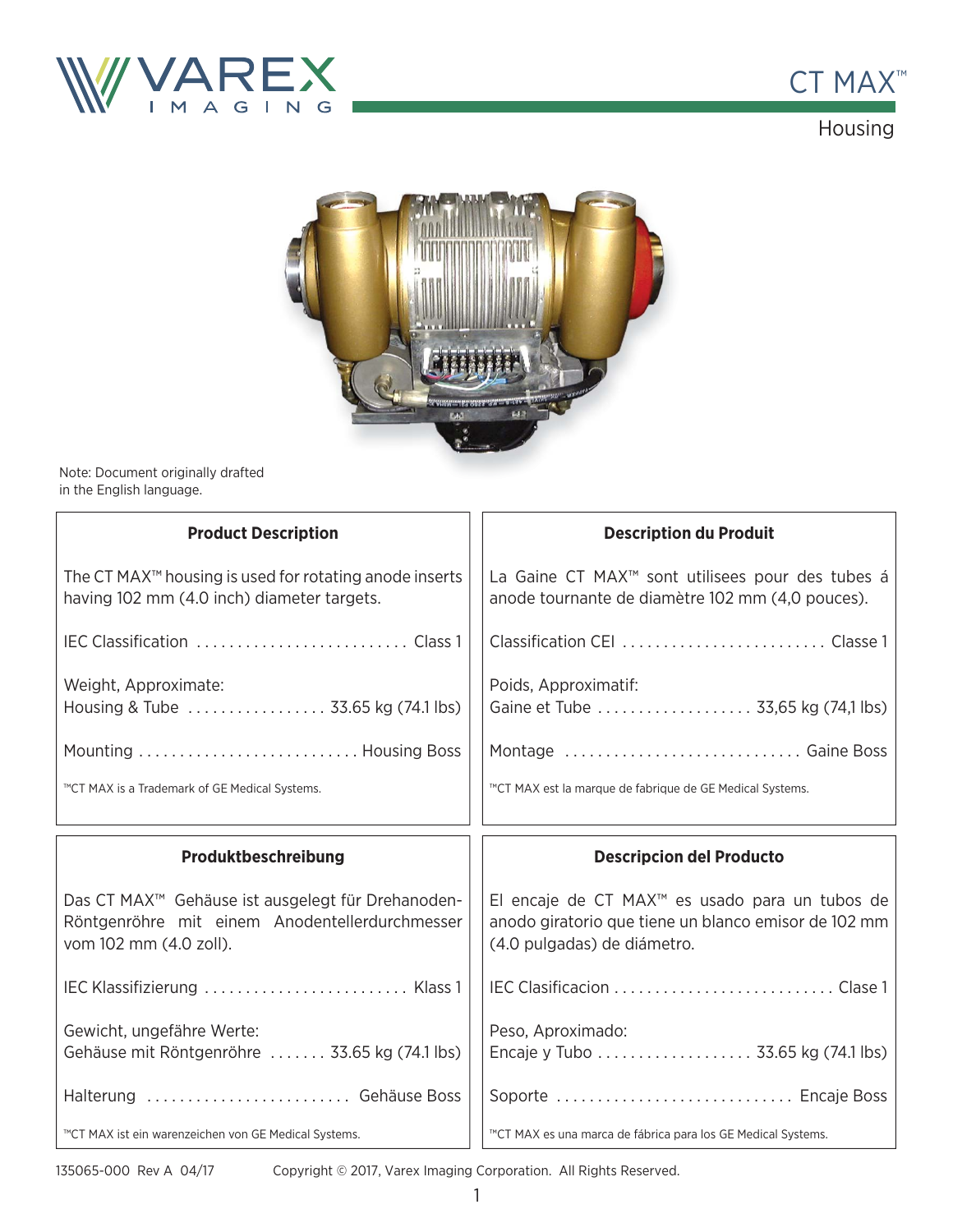



Housing



Note: Document originally drafted in the English language.

| <b>Product Description</b>                                                                                                                | <b>Description du Produit</b>                                                                                                                     |
|-------------------------------------------------------------------------------------------------------------------------------------------|---------------------------------------------------------------------------------------------------------------------------------------------------|
| The CT MAX <sup>™</sup> housing is used for rotating anode inserts<br>having 102 mm (4.0 inch) diameter targets.                          | La Gaine CT MAX <sup>™</sup> sont utilisees pour des tubes á<br>anode tournante de diamètre 102 mm (4,0 pouces).                                  |
|                                                                                                                                           |                                                                                                                                                   |
| Weight, Approximate:<br>Housing & Tube  33.65 kg (74.1 lbs)                                                                               | Poids, Approximatif:<br>Gaine et Tube  33,65 kg (74,1 lbs)                                                                                        |
|                                                                                                                                           | Montage  Gaine Boss                                                                                                                               |
| ™CT MAX is a Trademark of GE Medical Systems.                                                                                             | ™CT MAX est la marque de fabrique de GE Medical Systems.                                                                                          |
|                                                                                                                                           |                                                                                                                                                   |
| Produktbeschreibung                                                                                                                       | <b>Descripcion del Producto</b>                                                                                                                   |
| Das CT MAX <sup>™</sup> Gehäuse ist ausgelegt für Drehanoden-<br>Röntgenröhre mit einem Anodentellerdurchmesser<br>vom 102 mm (4.0 zoll). | El encaje de CT MAX <sup>™</sup> es usado para un tubos de<br>anodo giratorio que tiene un blanco emisor de 102 mm<br>(4.0 pulgadas) de diámetro. |
| IEC Klassifizierung  Klass 1                                                                                                              |                                                                                                                                                   |
| Gewicht, ungefähre Werte:<br>Gehäuse mit Röntgenröhre  33.65 kg (74.1 lbs)                                                                | Peso, Aproximado:<br>Encaje y Tubo  33.65 kg (74.1 lbs)                                                                                           |
| Halterung  Gehäuse Boss                                                                                                                   | Soporte  Encaje Boss                                                                                                                              |

135065-000 Rev A 04/17

Copyright © 2017, Varex Imaging Corporation. All Rights Reserved.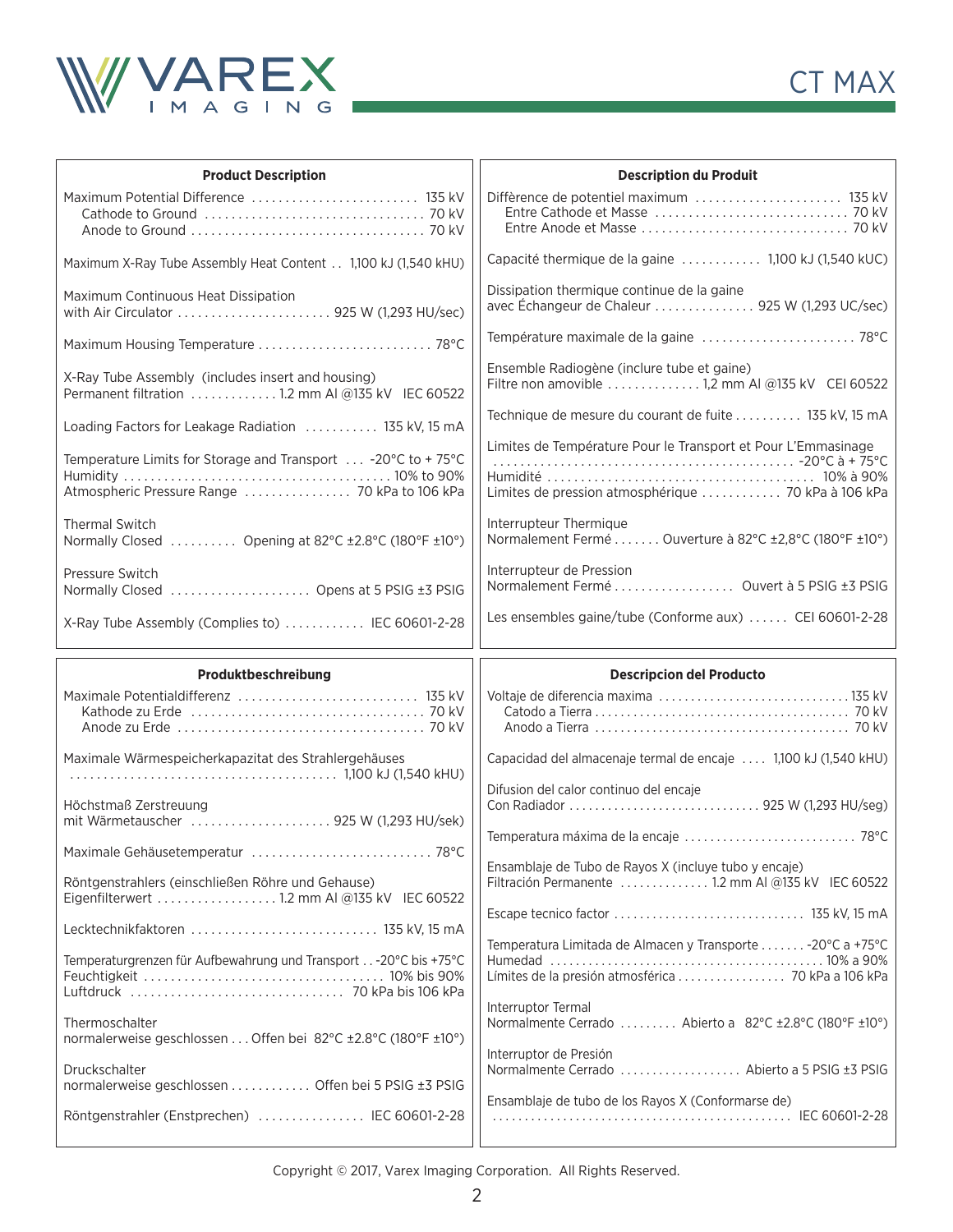



| <b>Product Description</b>                                                                                             | <b>Description du Produit</b>                                                                                                 |
|------------------------------------------------------------------------------------------------------------------------|-------------------------------------------------------------------------------------------------------------------------------|
| Maximum Potential Difference  135 kV                                                                                   |                                                                                                                               |
| Maximum X-Ray Tube Assembly Heat Content 1,100 kJ (1,540 kHU)                                                          | Capacité thermique de la gaine  1,100 kJ (1,540 kUC)                                                                          |
| Maximum Continuous Heat Dissipation<br>with Air Circulator  925 W (1,293 HU/sec)                                       | Dissipation thermique continue de la gaine<br>avec Échangeur de Chaleur  925 W (1,293 UC/sec)                                 |
| Maximum Housing Temperature  78°C                                                                                      |                                                                                                                               |
| X-Ray Tube Assembly (includes insert and housing)<br>Permanent filtration  1.2 mm AI @135 kV IEC 60522                 | Ensemble Radiogène (inclure tube et gaine)<br>Filtre non amovible 1,2 mm AI @135 kV CEI 60522                                 |
| Loading Factors for Leakage Radiation  135 kV, 15 mA                                                                   | Technique de mesure du courant de fuite  135 kV, 15 mA                                                                        |
| Temperature Limits for Storage and Transport $\ldots$ -20°C to + 75°C<br>Atmospheric Pressure Range  70 kPa to 106 kPa | Limites de Température Pour le Transport et Pour L'Emmasinage<br>Limites de pression atmosphérique  70 kPa à 106 kPa          |
| <b>Thermal Switch</b><br>Normally Closed  Opening at 82°C ±2.8°C (180°F ±10°)                                          | Interrupteur Thermique<br>Normalement Fermé  Ouverture à 82°C ±2,8°C (180°F ±10°)                                             |
| Pressure Switch<br>Normally Closed  Opens at 5 PSIG ±3 PSIG                                                            | Interrupteur de Pression<br>Normalement Fermé  Ouvert à 5 PSIG ±3 PSIG                                                        |
| X-Ray Tube Assembly (Complies to)  IEC 60601-2-28                                                                      | Les ensembles gaine/tube (Conforme aux)  CEI 60601-2-28                                                                       |
|                                                                                                                        |                                                                                                                               |
| Produktbeschreibung                                                                                                    | <b>Descripcion del Producto</b>                                                                                               |
|                                                                                                                        |                                                                                                                               |
| Maximale Wärmespeicherkapazitat des Strahlergehäuses                                                                   | Capacidad del almacenaje termal de encaje  1,100 kJ (1,540 kHU)                                                               |
| Höchstmaß Zerstreuung<br>mit Wärmetauscher  925 W (1,293 HU/sek)                                                       | Difusion del calor continuo del encaje                                                                                        |
| Maximale Gehäusetemperatur  78°C                                                                                       |                                                                                                                               |
| Röntgenstrahlers (einschließen Röhre und Gehause)<br>Eigenfilterwert 1.2 mm AI @135 kV IEC 60522                       | Ensamblaje de Tubo de Rayos X (incluye tubo y encaje)<br>Filtración Permanente  1.2 mm AI @135 kV IEC 60522                   |
| Lecktechnikfaktoren  135 kV, 15 mA                                                                                     |                                                                                                                               |
| Temperaturgrenzen für Aufbewahrung und Transport - 20 °C bis +75 °C                                                    | Temperatura Limitada de Almacen y Transporte - 20°C a +75°C                                                                   |
| Thermoschalter<br>normalerweise geschlossen Offen bei 82°C ±2.8°C (180°F ±10°)                                         | Interruptor Termal<br>Normalmente Cerrado  Abierto a 82°C ±2.8°C (180°F ±10°)                                                 |
| Druckschalter<br>normalerweise geschlossen Offen bei 5 PSIG ±3 PSIG                                                    | Interruptor de Presión<br>Normalmente Cerrado  Abierto a 5 PSIG ±3 PSIG<br>Ensamblaje de tubo de los Rayos X (Conformarse de) |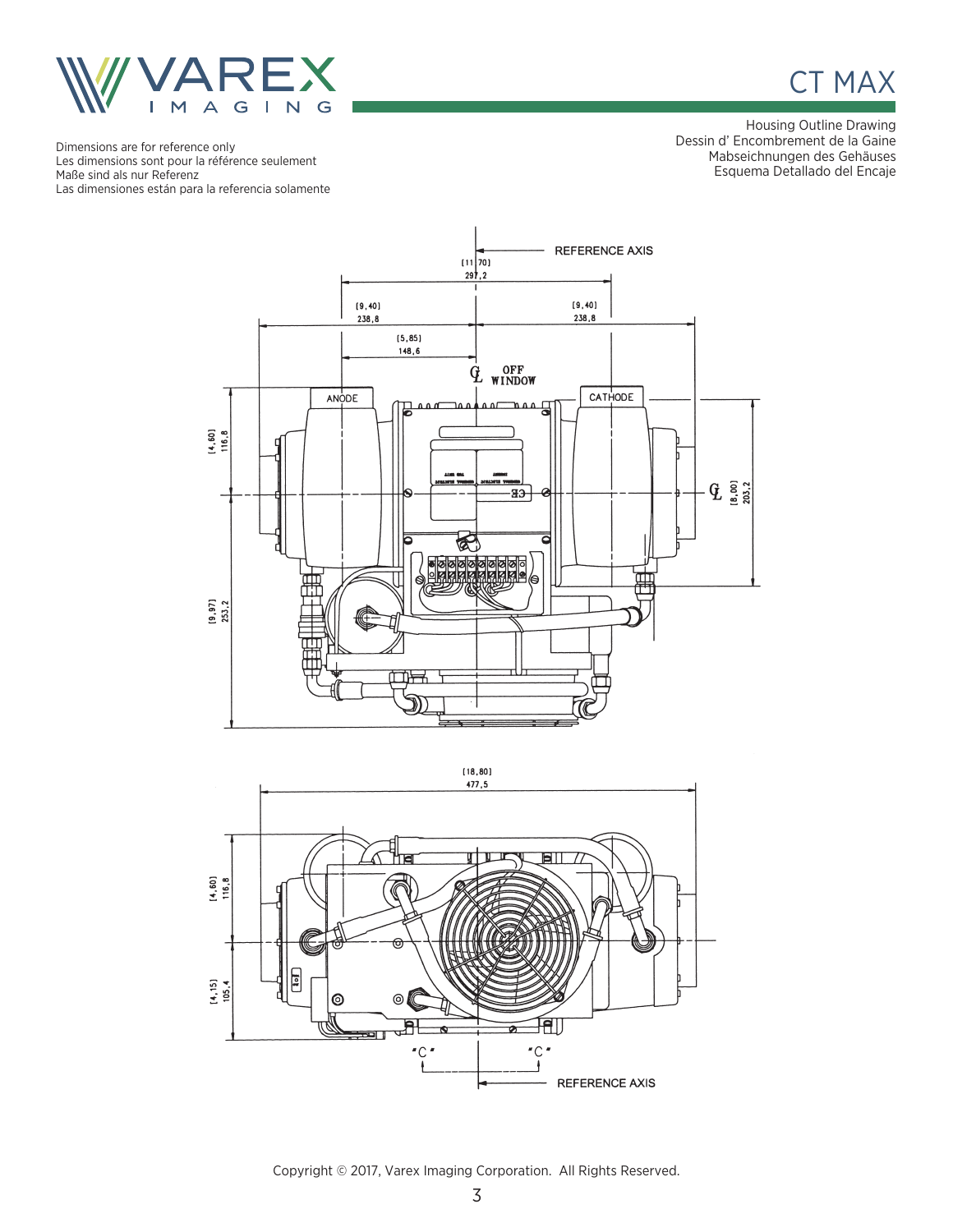



Housing Outline Drawing Dessin d' Encombrement de la Gaine Mabseichnungen des Gehäuses Esquema Detallado del Encaje

Dimensions are for reference only Les dimensions sont pour la référence seulement Maße sind als nur Referenz Las dimensiones están para la referencia solamente





Copyright © 2017, Varex Imaging Corporation. All Rights Reserved.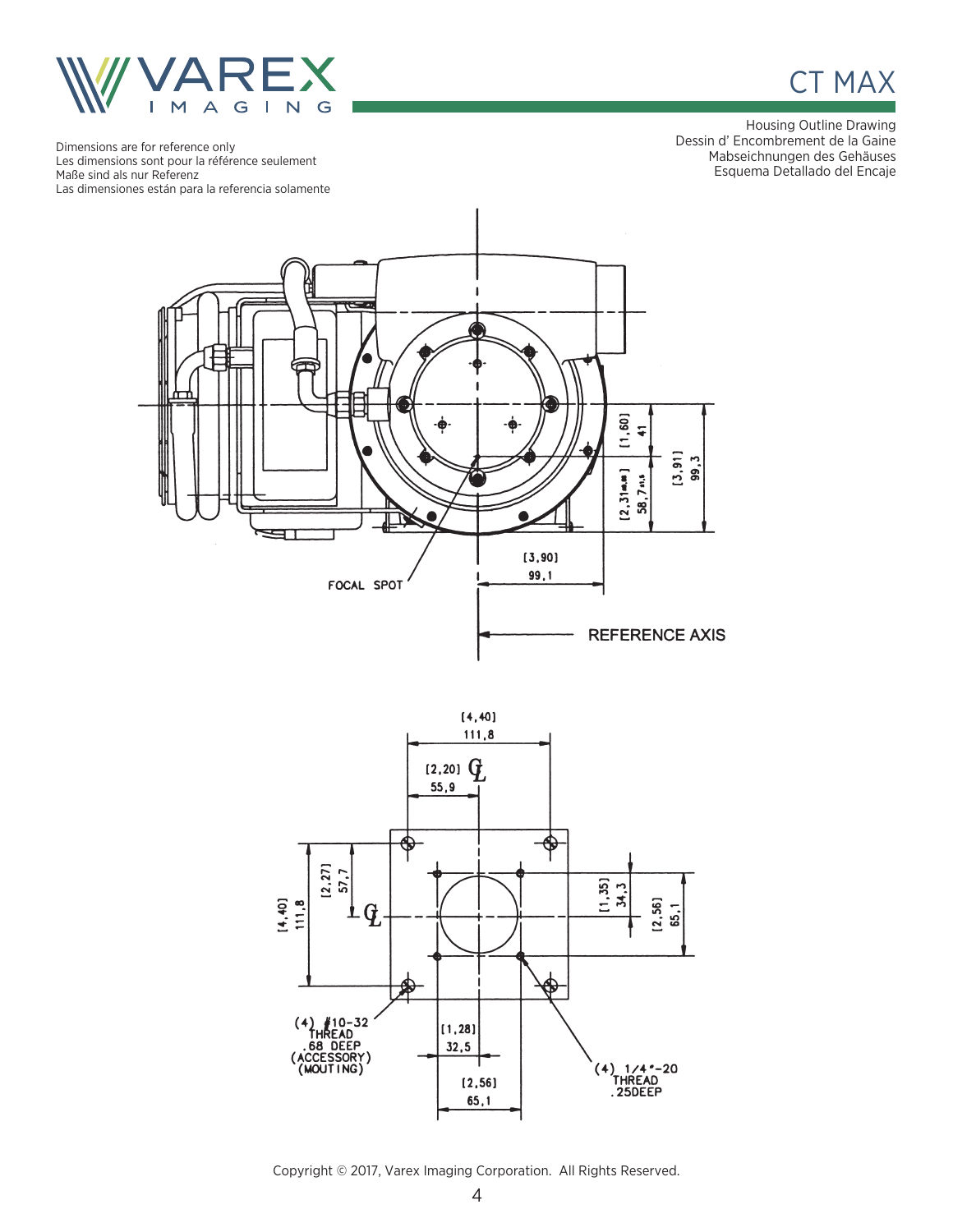



Housing Outline Drawing Dessin d' Encombrement de la Gaine Mabseichnungen des Gehäuses Esquema Detallado del Encaje

Dimensions are for reference only Les dimensions sont pour la référence seulement Maße sind als nur Referenz Las dimensiones están para la referencia solamente





Copyright © 2017, Varex Imaging Corporation. All Rights Reserved.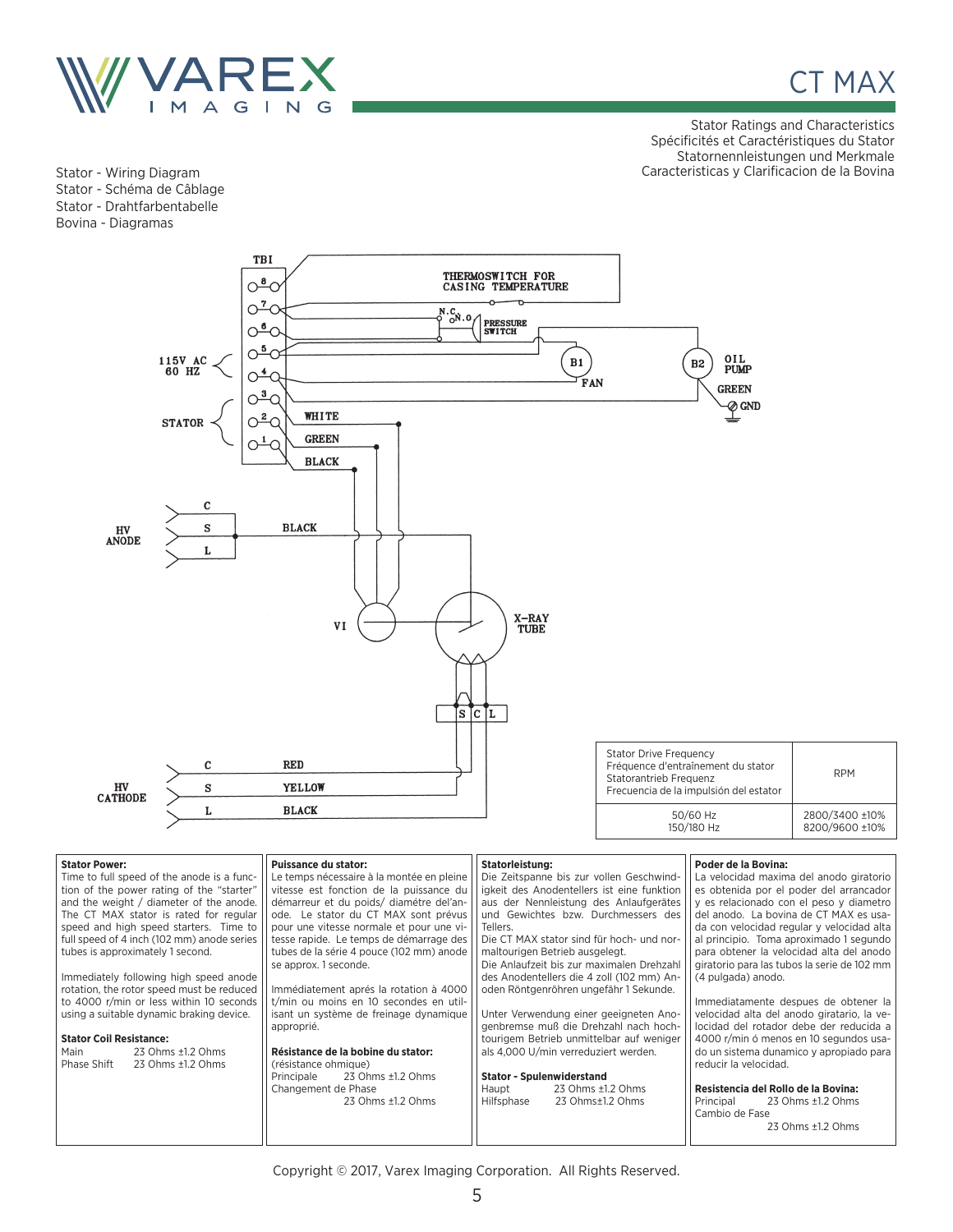

CT MAX

Stator Ratings and Characteristics Spécificités et Caractéristiques du Stator Statornennleistungen und Merkmale Stator - Wiring Diagram Caracteristicas y Clarificacion de la Bovina

Stator - Schéma de Câblage Stator - Drahtfarbentabelle Bovina - Diagramas



| <b>Stator Power:</b>                       | Puissance du stator:                      | Statorleistung:                            | Poder de la Bovina:                         |
|--------------------------------------------|-------------------------------------------|--------------------------------------------|---------------------------------------------|
| Time to full speed of the anode is a func- | Le temps nécessaire à la montée en pleine | Die Zeitspanne bis zur vollen Geschwind-   | La velocidad maxima del anodo giratorio     |
| tion of the power rating of the "starter"  | vitesse est fonction de la puissance du   | igkeit des Anodentellers ist eine funktion | es obtenida por el poder del arrancador     |
| and the weight / diameter of the anode.    | démarreur et du poids/ diamétre del'an-   | aus der Nennleistung des Anlaufgerätes     | y es relacionado con el peso y diametro     |
| The CT MAX stator is rated for regular     | ode. Le stator du CT MAX sont prévus      | und Gewichtes bzw. Durchmessers des        | del anodo. La bovina de CT MAX es usa-      |
| speed and high speed starters. Time to     | pour une vitesse normale et pour une vi-  | Tellers.                                   | da con velocidad regular y velocidad alta   |
| full speed of 4 inch (102 mm) anode series | tesse rapide. Le temps de démarrage des   | Die CT MAX stator sind für hoch- und nor-  | al principio. Toma aproximado 1 segundo     |
| tubes is approximately 1 second.           | tubes de la série 4 pouce (102 mm) anode  | maltourigen Betrieb ausgelegt.             | para obtener la velocidad alta del anodo    |
|                                            | se approx. 1 seconde.                     | Die Anlaufzeit bis zur maximalen Drehzahl  | giratorio para las tubos la serie de 102 mm |
| Immediately following high speed anode     |                                           | des Anodentellers die 4 zoll (102 mm) An-  | (4 pulgada) anodo.                          |
| rotation, the rotor speed must be reduced  | Immédiatement aprés la rotation à 4000    | oden Röntgenröhren ungefähr 1 Sekunde.     |                                             |
| to 4000 r/min or less within 10 seconds    | t/min ou moins en 10 secondes en util-    |                                            | Immediatamente despues de obtener la        |
| using a suitable dynamic braking device.   | isant un système de freinage dynamique    | Unter Verwendung einer geeigneten Ano-     | velocidad alta del anodo giratario, la ve-  |
|                                            | approprié.                                | genbremse muß die Drehzahl nach hoch-      | locidad del rotador debe der reducida a     |
| <b>Stator Coil Resistance:</b>             |                                           | tourigem Betrieb unmittelbar auf weniger   | 4000 r/min ó menos en 10 segundos usa-      |
| Main<br>23 Ohms ±1.2 Ohms                  | Résistance de la bobine du stator:        | als 4,000 U/min verreduziert werden.       | do un sistema dunamico y apropiado para     |
| Phase Shift<br>23 Ohms ±1.2 Ohms           | (résistance ohmique)                      |                                            | reducir la velocidad.                       |
|                                            | 23 Ohms ±1.2 Ohms<br>Principale           | <b>Stator - Spulenwiderstand</b>           |                                             |
|                                            | Changement de Phase                       | 23 Ohms ±1.2 Ohms<br>Haupt                 | Resistencia del Rollo de la Bovina:         |
|                                            | 23 Ohms ±1.2 Ohms                         | 23 Ohms±1.2 Ohms<br>Hilfsphase             | 23 Ohms ±1.2 Ohms<br>Principal              |
|                                            |                                           |                                            | Cambio de Fase                              |
|                                            |                                           |                                            | 23 Ohms ±1.2 Ohms                           |
|                                            |                                           |                                            |                                             |

Copyright © 2017, Varex Imaging Corporation. All Rights Reserved.